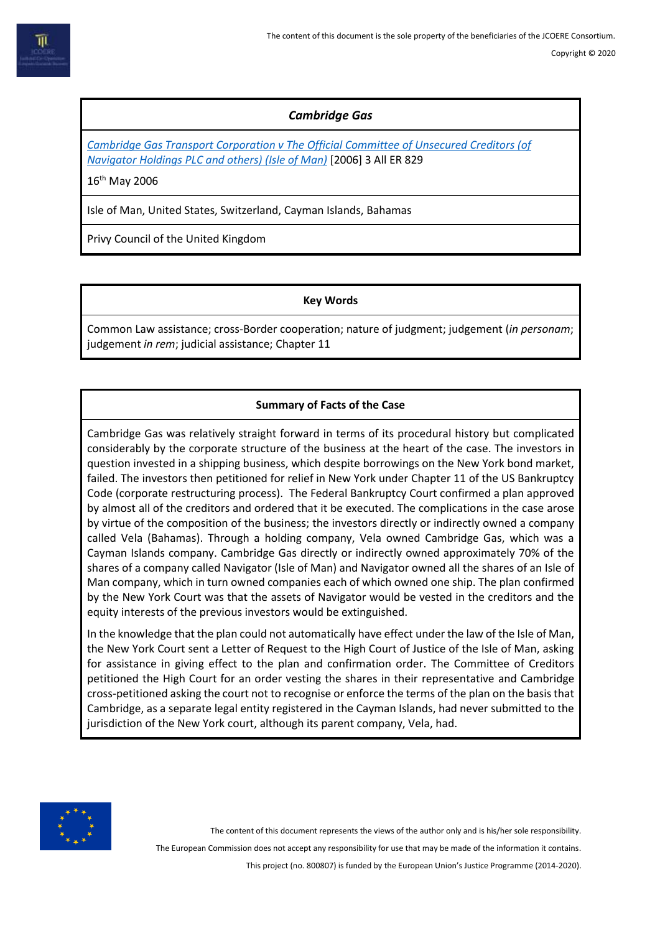# *Cambridge Gas*

*[Cambridge Gas Transport Corporation v The Official Committee of Unsecured Creditors \(of](https://www.bailii.org/uk/cases/UKPC/2006/26.html) [Navigator Holdings PLC and others\) \(Isle of Man\)](https://www.bailii.org/uk/cases/UKPC/2006/26.html)* [2006] 3 All ER 829

16<sup>th</sup> May 2006

Isle of Man, United States, Switzerland, Cayman Islands, Bahamas

Privy Council of the United Kingdom

### **Key Words**

Common Law assistance; cross-Border cooperation; nature of judgment; judgement (*in personam*; judgement *in rem*; judicial assistance; Chapter 11

## **Summary of Facts of the Case**

Cambridge Gas was relatively straight forward in terms of its procedural history but complicated considerably by the corporate structure of the business at the heart of the case. The investors in question invested in a shipping business, which despite borrowings on the New York bond market, failed. The investors then petitioned for relief in New York under Chapter 11 of the US Bankruptcy Code (corporate restructuring process). The Federal Bankruptcy Court confirmed a plan approved by almost all of the creditors and ordered that it be executed. The complications in the case arose by virtue of the composition of the business; the investors directly or indirectly owned a company called Vela (Bahamas). Through a holding company, Vela owned Cambridge Gas, which was a Cayman Islands company. Cambridge Gas directly or indirectly owned approximately 70% of the shares of a company called Navigator (Isle of Man) and Navigator owned all the shares of an Isle of Man company, which in turn owned companies each of which owned one ship. The plan confirmed by the New York Court was that the assets of Navigator would be vested in the creditors and the equity interests of the previous investors would be extinguished.

In the knowledge that the plan could not automatically have effect under the law of the Isle of Man, the New York Court sent a Letter of Request to the High Court of Justice of the Isle of Man, asking for assistance in giving effect to the plan and confirmation order. The Committee of Creditors petitioned the High Court for an order vesting the shares in their representative and Cambridge cross-petitioned asking the court not to recognise or enforce the terms of the plan on the basis that Cambridge, as a separate legal entity registered in the Cayman Islands, had never submitted to the jurisdiction of the New York court, although its parent company, Vela, had.



The content of this document represents the views of the author only and is his/her sole responsibility.

The European Commission does not accept any responsibility for use that may be made of the information it contains.

This project (no. 800807) is funded by the European Union's Justice Programme (2014-2020).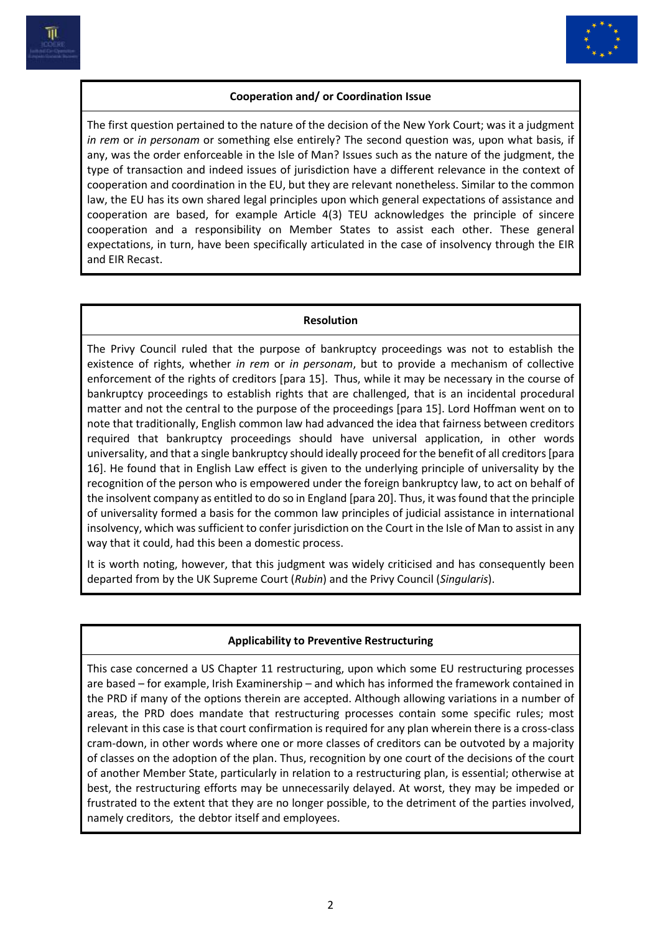



## **Cooperation and/ or Coordination Issue**

The first question pertained to the nature of the decision of the New York Court; was it a judgment *in rem* or *in personam* or something else entirely? The second question was, upon what basis, if any, was the order enforceable in the Isle of Man? Issues such as the nature of the judgment, the type of transaction and indeed issues of jurisdiction have a different relevance in the context of cooperation and coordination in the EU, but they are relevant nonetheless. Similar to the common law, the EU has its own shared legal principles upon which general expectations of assistance and cooperation are based, for example Article 4(3) TEU acknowledges the principle of sincere cooperation and a responsibility on Member States to assist each other. These general expectations, in turn, have been specifically articulated in the case of insolvency through the EIR and EIR Recast.

#### **Resolution**

The Privy Council ruled that the purpose of bankruptcy proceedings was not to establish the existence of rights, whether *in rem* or *in personam*, but to provide a mechanism of collective enforcement of the rights of creditors [para 15]. Thus, while it may be necessary in the course of bankruptcy proceedings to establish rights that are challenged, that is an incidental procedural matter and not the central to the purpose of the proceedings [para 15]. Lord Hoffman went on to note that traditionally, English common law had advanced the idea that fairness between creditors required that bankruptcy proceedings should have universal application, in other words universality, and that a single bankruptcy should ideally proceed for the benefit of all creditors[para 16]. He found that in English Law effect is given to the underlying principle of universality by the recognition of the person who is empowered under the foreign bankruptcy law, to act on behalf of the insolvent company as entitled to do so in England [para 20]. Thus, it was found that the principle of universality formed a basis for the common law principles of judicial assistance in international insolvency, which was sufficient to confer jurisdiction on the Court in the Isle of Man to assist in any way that it could, had this been a domestic process.

It is worth noting, however, that this judgment was widely criticised and has consequently been departed from by the UK Supreme Court (*Rubin*) and the Privy Council (*Singularis*).

### **Applicability to Preventive Restructuring**

This case concerned a US Chapter 11 restructuring, upon which some EU restructuring processes are based – for example, Irish Examinership – and which has informed the framework contained in the PRD if many of the options therein are accepted. Although allowing variations in a number of areas, the PRD does mandate that restructuring processes contain some specific rules; most relevant in this case is that court confirmation is required for any plan wherein there is a cross-class cram-down, in other words where one or more classes of creditors can be outvoted by a majority of classes on the adoption of the plan. Thus, recognition by one court of the decisions of the court of another Member State, particularly in relation to a restructuring plan, is essential; otherwise at best, the restructuring efforts may be unnecessarily delayed. At worst, they may be impeded or frustrated to the extent that they are no longer possible, to the detriment of the parties involved, namely creditors, the debtor itself and employees.